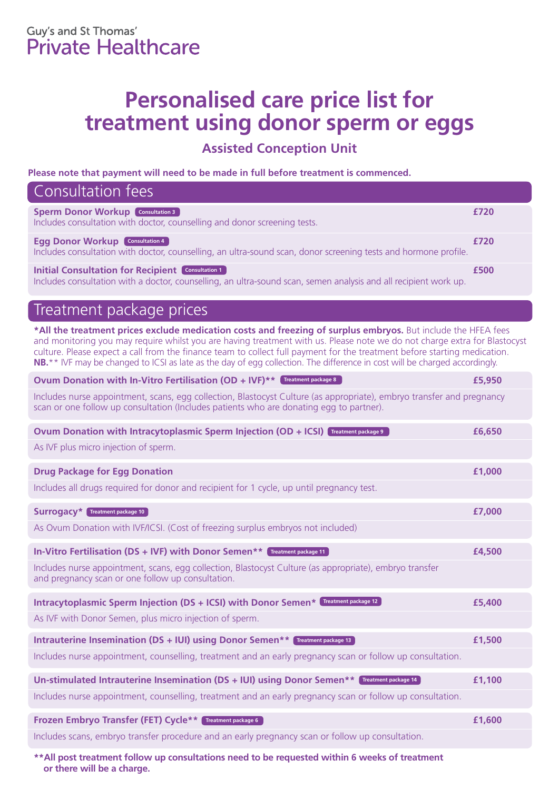## **Personalised care price list for treatment using donor sperm or eggs**

**Assisted Conception Unit** 

**Please note that payment will need to be made in full before treatment is commenced.**

| Consultation fees                                                                                                                                                            |      |
|------------------------------------------------------------------------------------------------------------------------------------------------------------------------------|------|
| <b>Sperm Donor Workup Consultation 3</b><br>Includes consultation with doctor, counselling and donor screening tests.                                                        | £720 |
| <b>Egg Donor Workup Consultation 4</b><br>Includes consultation with doctor, counselling, an ultra-sound scan, donor screening tests and hormone profile.                    | £720 |
| <b>Initial Consultation for Recipient Consultation 1</b><br>Includes consultation with a doctor, counselling, an ultra-sound scan, semen analysis and all recipient work up. | £500 |

## Treatment package prices

**\*All the treatment prices exclude medication costs and freezing of surplus embryos.** But include the HFEA fees and monitoring you may require whilst you are having treatment with us. Please note we do not charge extra for Blastocyst culture. Please expect a call from the finance team to collect full payment for the treatment before starting medication. **NB.**\*\* IVF may be changed to ICSI as late as the day of egg collection. The difference in cost will be charged accordingly.

| Ovum Donation with In-Vitro Fertilisation (OD + IVF) ** Treatment package 8                                                                                                                                      | £5,950 |
|------------------------------------------------------------------------------------------------------------------------------------------------------------------------------------------------------------------|--------|
| Includes nurse appointment, scans, egg collection, Blastocyst Culture (as appropriate), embryo transfer and pregnancy<br>scan or one follow up consultation (Includes patients who are donating egg to partner). |        |
| Ovum Donation with Intracytoplasmic Sperm Injection (OD + ICSI) Treatment package 9                                                                                                                              | £6,650 |
| As IVF plus micro injection of sperm.                                                                                                                                                                            |        |
| <b>Drug Package for Egg Donation</b>                                                                                                                                                                             | £1,000 |
| Includes all drugs required for donor and recipient for 1 cycle, up until pregnancy test.                                                                                                                        |        |
| <b>Surrogacy*</b> Treatment package 10                                                                                                                                                                           | £7,000 |
| As Ovum Donation with IVF/ICSI. (Cost of freezing surplus embryos not included)                                                                                                                                  |        |
| In-Vitro Fertilisation (DS + IVF) with Donor Semen** Treatment package 11                                                                                                                                        | £4,500 |
| Includes nurse appointment, scans, egg collection, Blastocyst Culture (as appropriate), embryo transfer<br>and pregnancy scan or one follow up consultation.                                                     |        |
| Intracytoplasmic Sperm Injection (DS + ICSI) with Donor Semen* Treatment package 12                                                                                                                              | £5,400 |
| As IVF with Donor Semen, plus micro injection of sperm.                                                                                                                                                          |        |
| Intrauterine Insemination (DS + IUI) using Donor Semen** Treatment package 13                                                                                                                                    | £1,500 |
| Includes nurse appointment, counselling, treatment and an early pregnancy scan or follow up consultation.                                                                                                        |        |
| Un-stimulated Intrauterine Insemination (DS + IUI) using Donor Semen** Treatment package 14                                                                                                                      | £1,100 |
| Includes nurse appointment, counselling, treatment and an early pregnancy scan or follow up consultation.                                                                                                        |        |
| Frozen Embryo Transfer (FET) Cycle** Treatment package 6                                                                                                                                                         | £1,600 |
| Includes scans, embryo transfer procedure and an early pregnancy scan or follow up consultation.                                                                                                                 |        |

**\*\*All post treatment follow up consultations need to be requested within 6 weeks of treatment or there will be a charge.**